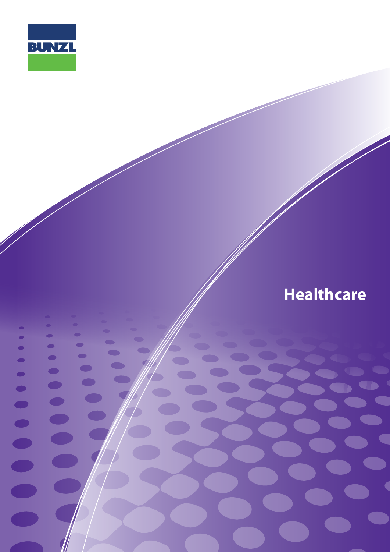

 $\bullet$ 

 $\bullet$ 

 $\bullet$ 

 $\bullet$ 

 $\bullet$ 

 $\bullet$ 

 $\bullet$ 

 $\bullet$ 

 $\bullet$ 

 $\bullet$ 

 $\blacksquare$ 

 $\bullet$ 

 $\bullet$ 

 $\bullet$ 

 $\bullet$ 

 $\bullet$ 

 $\bullet$ 

 $\blacksquare$ 

 $\blacksquare$ 

# **Healthcare**

**www.bunzl.com.au** 

u

C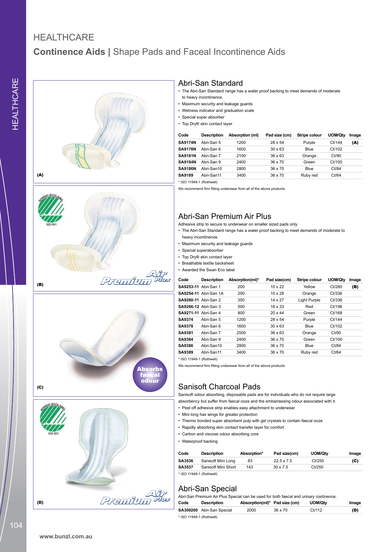### **Continence Aids |** Shape Pads and Faceal Incontinence Aids **HEALTHCARE**











#### Abri-San Standard

- The Abri-San Standard range has a water proof backing to meet demands of moderate to heavy incontinence.
- • Maximum security and leakage guards
- • Wetness indicator and graduation scale
- • Special super absorber
- • Top Dry® skin contact layer

| Code           | <b>Description</b> | Absorption (ml) | Pad size (cm)  | Stripe colour | UOM/Qtv | Image |
|----------------|--------------------|-----------------|----------------|---------------|---------|-------|
| <b>SA9174N</b> | Abri-San 5         | 1200            | 28 x 54        | Purple        | Ct/144  | (A)   |
| <b>SA9178N</b> | Abri-San 6         | 1600            | $30 \times 63$ | Blue          | Ct/102  |       |
| <b>SA9181N</b> | Abri-San 7         | 2100            | $36 \times 63$ | Orange        | Ct/90   |       |
| <b>SA9184N</b> | Abri-San 9         | 2400            | 36 x 70        | Green         | Ct/100  |       |
| <b>SA9186N</b> | Abri-San10         | 2800            | 36 x 70        | Blue          | Ct/84   |       |
| SA9189         | Abri-San11         | 3400            | 36 x 70        | Ruby red      | Ct/64   |       |
|                |                    |                 |                |               |         |       |

\* ISO 11948-1 (Rothwell)

We recommend firm fitting underwear from all of the above products

#### Abri-San Premium Air Plus

Adhesive strip to secure to underwear on smaller sized pads only.

• The Abri-San Standard range has a water proof backing to meet demands of moderate to heavy incontinence.

- • Maximum security and leakage guards
- Special superabsorber
- • Top Dry® skin contact layer
- • Breathable textile backsheet
- • Awarded the Swan Eco label

| Code                        | <b>Description</b>           | Absorption(ml)* | Pad size(cm)   | Stripe colour | UOM/Qty | Image |
|-----------------------------|------------------------------|-----------------|----------------|---------------|---------|-------|
| SA9253-11 Abri-San 1        |                              | 200             | $10 \times 22$ | Yellow        | Ct/280  | (B)   |
|                             | <b>SA9254-11</b> Abri-San 1A | 200             | $10 \times 28$ | Orange        | Ct/336  |       |
| <b>SA9260-11</b> Abri-San 2 |                              | 350             | 14 x 27        | Light Purple  | Ct/336  |       |
| <b>SA9266-12 Ahri-San 3</b> |                              | 500             | 16 x 33        | Red           | Ct/196  |       |
| SA9271-11 Ahri-San 4        |                              | 800             | $20 \times 44$ | Green         | Ct/168  |       |
| <b>SA9374</b>               | Abri-San 5                   | 1200            | 28 x 54        | Purple        | Ct/144  |       |
| <b>SA9378</b>               | Abri-San 6                   | 1600            | $30 \times 63$ | Blue          | Ct/102  |       |
| SA9381                      | Abri-San 7                   | 2500            | $36 \times 63$ | Orange        | Ct/90   |       |
| SA9384                      | Abri-San 9                   | 2400            | $36 \times 70$ | Green         | Ct/100  |       |
| SA9386                      | Abri-San10                   | 2800            | 36 x 70        | Blue          | Ct/84   |       |
| SA9389                      | Abri-San11                   | 3400            | 36 x 70        | Ruby red      | Ct/64   |       |

\* ISO 11948-1 (Rothwell)

We recommend firm fitting underwear from all of the above products

### Sanisoft Charcoal Pads

Sanisoft odour absorbing, disposable pads are for individuals who do not require large absorbency but suffer from faecal ooze and the embarrassing odour associated with it.

- • Peel off adhesive strip enables easy attachment to underwear
- • Mini long has wings for greater protection
- Thermo bonded super absorbent pulp with gel crystals to contain faecal ooze
- • Rapidly absorbing skin contact transfer layer for comfort
- • Carbon and viscose odour absorbing core
- Waterproof backing

| Code                     | <b>Description</b>  | Absorption* | Pad size(cm)      | UOM/Qtv | Image |  |
|--------------------------|---------------------|-------------|-------------------|---------|-------|--|
| <b>SA3536</b>            | Sanisoft Mini Long  | 83          | $22.5 \times 7.5$ | Ct/250  | (C)   |  |
| SA3537                   | Sanisoft Mini Short | 143         | $30 \times 75$    | Ct/250  |       |  |
| * ISO 11948-1 (Rothwell) |                     |             |                   |         |       |  |

Abri-San Special

| Abri-San Premium Air Plus Special can be used for both faecal and urinary continence. |                           |                               |         |         |       |  |  |
|---------------------------------------------------------------------------------------|---------------------------|-------------------------------|---------|---------|-------|--|--|
| Code                                                                                  | Description               | Absorption(ml)* Pad size (cm) |         | UOM/Otv | Image |  |  |
|                                                                                       | SA300200 Abri-San Special | 2000                          | 36 x 70 | Ct/112  | (D)   |  |  |
| * ISO 11948-1 (Rothwell)                                                              |                           |                               |         |         |       |  |  |

104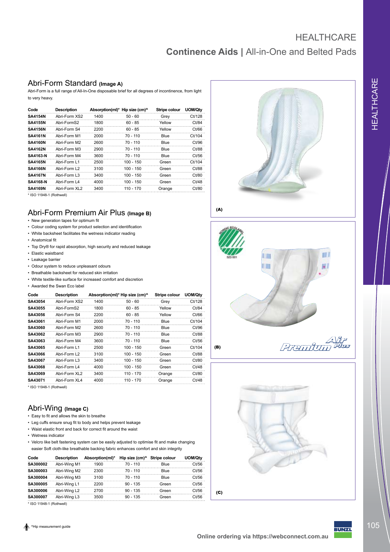## **Continence Aids |** All-in-One and Belted Pads **HEALTHCARE**

#### Abri-Form Standard **(Image A)**

Abri-Form is a full range of All-In-One disposable brief for all degrees of incontinence, from light to very heavy.

| Code            | <b>Description</b> | Absorption(ml)* | Hip size (cm) <sup>^</sup> | Stripe colour | UOM/Qty |
|-----------------|--------------------|-----------------|----------------------------|---------------|---------|
| <b>SA4154N</b>  | Abri-Form XS2      | 1400            | $50 - 60$                  | Grey          | Ct/128  |
| <b>SA4155N</b>  | Abri-FormS2        | 1800            | $60 - 85$                  | Yellow        | Ct/84   |
| <b>SA4156N</b>  | Abri-Form S4       | 2200            | $60 - 85$                  | Yellow        | Ct/66   |
| <b>SA4161N</b>  | Abri-Form M1       | 2000            | 70 - 110                   | Blue          | Ct/104  |
| <b>SA4160N</b>  | Abri-Form M2       | 2600            | $70 - 110$                 | Blue          | Ct/96   |
| <b>SA4162N</b>  | Abri-Form M3       | 2900            | $70 - 110$                 | Blue          | Ct/88   |
| <b>SA4163-N</b> | Abri-Form M4       | 3600            | $70 - 110$                 | Blue          | Ct/56   |
| <b>SA4165N</b>  | Abri-Form L1       | 2500            | $100 - 150$                | Green         | Ct/104  |
| <b>SA4166N</b>  | Abri-Form L2       | 3100            | $100 - 150$                | Green         | Ct/88   |
| <b>SA4167N</b>  | Abri-Form L3       | 3400            | 100 - 150                  | Green         | Ct/80   |
| <b>SA4168-N</b> | Abri-Form L4       | 4000            | $100 - 150$                | Green         | Ct/48   |
| <b>SA4169N</b>  | Abri-Form XL2      | 3400            | $110 - 170$                | Orange        | Ct/80   |
|                 |                    |                 |                            |               |         |

\* ISO 11948-1 (Rothwell)

### Abri-Form Premium Air Plus **(Image B)**

- • New generation tapes for optimum fit
- • Colour coding system for product selection and identification
- • White backsheet facilitates the wetness indicator reading
- Anatomical fit
- • Top Dry® for rapid absorption, high security and reduced leakage
- • Elastic waistband
- • Leakage barrier
- • Odour system to reduce unpleasant odours
- • Breathable backsheet for reduced skin irritation
- • White textile-like surface for increased comfort and discretion
- • Awarded the Swan Eco label

| Code    | <b>Description</b> |      | Absorption(ml)* Hip size (cm)^ | Stripe colour | UOM/Qty |
|---------|--------------------|------|--------------------------------|---------------|---------|
| SA43054 | Abri-Form XS2      | 1400 | $50 - 60$                      | Grey          | Ct/128  |
| SA43055 | Abri-FormS2        | 1800 | $60 - 85$                      | Yellow        | Ct/84   |
| SA43056 | Ahri-Form S4       | 2200 | $60 - 85$                      | Yellow        | Ct/66   |
| SA43061 | Abri-Form M1       | 2000 | $70 - 110$                     | Blue          | Ct/104  |
| SA43060 | Abri-Form M2       | 2600 | $70 - 110$                     | Blue          | Ct/96   |
| SA43062 | Abri-Form M3       | 2900 | $70 - 110$                     | Blue          | Ct/88   |
| SA43063 | Abri-Form M4       | 3600 | $70 - 110$                     | Blue          | Ct/56   |
| SA43065 | Abri-Form L1       | 2500 | $100 - 150$                    | Green         | Ct/104  |
| SA43066 | Abri-Form I 2      | 3100 | $100 - 150$                    | Green         | Ct/88   |
| SA43067 | Abri-Form L3       | 3400 | $100 - 150$                    | Green         | Ct/80   |
| SA43068 | Abri-Form L4       | 4000 | $100 - 150$                    | Green         | Ct/48   |
| SA43069 | Abri-Form XL2      | 3400 | $110 - 170$                    | Orange        | Ct/80   |
| SA43071 | Abri-Form XL4      | 4000 | 110 - 170                      | Orange        | Ct/48   |

\* ISO 11948-1 (Rothwell)

#### Abri-Wing **(Image C)**

- • Easy to fit and allows the skin to breathe
- • Leg cuffs ensure snug fit to body and helps prevent leakage
- • Waist elastic front and back for correct fit around the waist
- • Wetness indicator
- Velcro like belt fastening system can be easily adjusted to optimise fit and make changing easier Soft cloth-like breathable backing fabric enhances comfort and skin integrity

| Code     | <b>Description</b> | Absorption(ml)* | Hip size (cm) <sup>^</sup> | Stripe colour | UOM/Qtv |
|----------|--------------------|-----------------|----------------------------|---------------|---------|
| SA300002 | Abri-Wing M1       | 1900            | $70 - 110$                 | Blue          | Ct/56   |
| SA300003 | Abri-Wing M2       | 2300            | $70 - 110$                 | Blue          | Ct/56   |
| SA300004 | Abri-Wing M3       | 3100            | $70 - 110$                 | Blue          | Ct/56   |
| SA300005 | Abri-Wing L1       | 2200            | $90 - 135$                 | Green         | Ct/56   |
| SA300006 | Abri-Wing L2       | 2700            | $90 - 135$                 | Green         | Ct/56   |
| SA300007 | Abri-Wing L3       | 3500            | $90 - 135$                 | Green         | Ct/56   |

\* ISO 11948-1 (Rothwell)



(A)





(B)

**Premium** 



3UNZI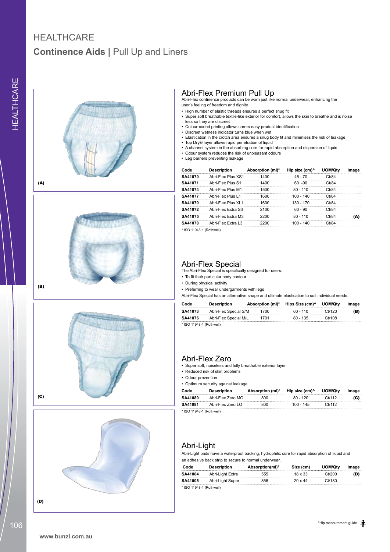### **Continence Aids | Pull Up and Liners HEALTHCARE**







(B)





Abri-Flex Premium Pull Up Abri-Flex continence products can be worn just like normal underwear, enhancing the user's feeling of freedom and dignity.

- High number of elastic threads ensures a perfect snug fit
- Super soft breathable textile-like exterior for comfort, allows the skin to breathe and is noise less so they are discreet
- • Colour-coded printing allows carers easy product identification • Discreet wetness indicator turns blue when wet
- Elastication in the crotch area ensures a snug body fit and minimises the risk of leakage
- • Top Dry® layer allows rapid penetration of liquid
- • A channel system in the absorbing core for rapid absorption and dispersion of liquid
- • Odour system reduces the risk of unpleasant odours • Leg barriers preventing leakage

| Code    | <b>Description</b>  | Absorption (ml)* | Hip size (cm) <sup>^</sup> | UOM/Qtv | Image |
|---------|---------------------|------------------|----------------------------|---------|-------|
| SA41070 | Abri-Flex Plus XS1  | 1400             | $45 - 70$                  | Ct/84   |       |
| SA41071 | Abri-Flex Plus S1   | 1400             | $60 - 90$                  | Ct/84   |       |
| SA41074 | Abri-Flex Plus M1   | 1500             | $80 - 110$                 | Ct/84   |       |
| SA41077 | Abri-Flex Plus I 1  | 1600             | $100 - 140$                | Ct/84   |       |
| SA41079 | Abri-Flex Plus XI 1 | 1600             | $130 - 170$                | Ct/84   |       |
| SA41072 | Abri-Flex Extra S3  | 2100             | $60 - 90$                  | Ct/84   |       |
| SA41075 | Abri-Flex Extra M3  | 2200             | $80 - 110$                 | Ct/84   | (A)   |
| SA41078 | Abri-Flex Extra L3  | 2200             | $100 - 140$                | Ct/84   |       |

\* ISO 11948-1 (Rothwell)

Abri-Flex Special The Abri-Flex Special is specifically designed for users:

• To fit their particular body contour

• During physical activity

• Preferring to wear undergarments with legs

Abri-Flex Special has an alternative shape and ultimate elastication to suit individual needs.

| Code                        | <b>Description</b>    | Absorption (ml)* | Hips Size (cm) <sup>^</sup> | UOM/Qtv | Image |
|-----------------------------|-----------------------|------------------|-----------------------------|---------|-------|
| SA41073                     | Abri-Flex Special S/M | 1700             | $60 - 110$                  | Ct/120  | (B)   |
| SA41076                     | Abri-Flex Special M/L | 1701             | 80 - 135                    | Ct/108  |       |
| $+1001$ $+1010$ $+10$ $+10$ |                       |                  |                             |         |       |

ISO 11948-1 (Rothwell)

#### Abri-Flex Zero

• Super soft, noiseless and fully breathable exterior layer

• Reduced risk of skin problems

• Odour prevention

• Optimum security against leakage

| Code                           | <b>Description</b> | Absorption (ml)* | Hip size (cm)^ | UOM/Qtv | Image |
|--------------------------------|--------------------|------------------|----------------|---------|-------|
| SA41080                        | Abri-Flex Zero MO  | 800              | $80 - 120$     | Ct/112  | (C)   |
| SA41081                        | Abri-Flex Zero LO  | 800              | 100 - 145      | Ct/112  |       |
| $\star$ ISO 11048-1 (Dothwell) |                    |                  |                |         |       |

ISO 11948-1 (Rothwell)

### Abri-Light

Abri-Light pads have a waterproof backing, hydrophilic core for rapid absorption of liquid and an adhesive back strip to secure to normal underwear.

| Code    | <b>Description</b> | Absorption(ml)* | Size (cm) | UOM/Qtv | Image |
|---------|--------------------|-----------------|-----------|---------|-------|
| SA41004 | Abri-Light Extra   | 555             | 18 x 33   | 11/20C  | (D)   |
| SA41005 | Abri-Light Super   | 856             | 20 x 44   | Ct/180  |       |

\* ISO 11948-1 (Rothwell)